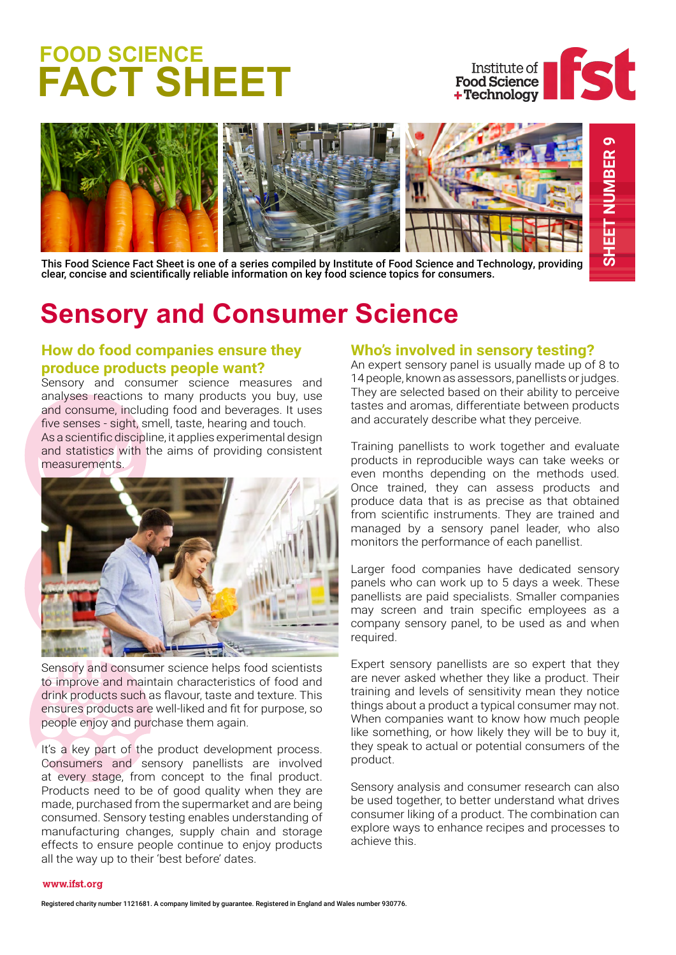# **FOOD SCIENCE FACT SHEET**





This Food Science Fact Sheet is one of a series compiled by Institute of Food Science and Technology, providing clear, concise and scientifically reliable information on key food science topics for consumers.

## **Sensory and Consumer Science**

#### **How do food companies ensure they produce products people want?**

Sensory and consumer science measures and analyses reactions to many products you buy, use and consume, including food and beverages. It uses five senses - sight, smell, taste, hearing and touch. As a scientific discipline, it applies experimental design and statistics with the aims of providing consistent measurements.



Sensory and consumer science helps food scientists to improve and maintain characteristics of food and drink products such as flavour, taste and texture. This ensures products are well-liked and fit for purpose, so people enjoy and purchase them again.

It's a key part of the product development process. Consumers and sensory panellists are involved at every stage, from concept to the final product. Products need to be of good quality when they are made, purchased from the supermarket and are being consumed. Sensory testing enables understanding of manufacturing changes, supply chain and storage effects to ensure people continue to enjoy products all the way up to their 'best before' dates.

#### **Who's involved in sensory testing?**

An expert sensory panel is usually made up of 8 to 14 people, known as assessors, panellists or judges. They are selected based on their ability to perceive tastes and aromas, differentiate between products and accurately describe what they perceive.

Training panellists to work together and evaluate products in reproducible ways can take weeks or even months depending on the methods used. Once trained, they can assess products and produce data that is as precise as that obtained from scientific instruments. They are trained and managed by a sensory panel leader, who also monitors the performance of each panellist.

Larger food companies have dedicated sensory panels who can work up to 5 days a week. These panellists are paid specialists. Smaller companies may screen and train specific employees as a company sensory panel, to be used as and when required.

Expert sensory panellists are so expert that they are never asked whether they like a product. Their training and levels of sensitivity mean they notice things about a product a typical consumer may not. When companies want to know how much people like something, or how likely they will be to buy it, they speak to actual or potential consumers of the product.

Sensory analysis and consumer research can also be used together, to better understand what drives consumer liking of a product. The combination can explore ways to enhance recipes and processes to achieve this.

#### www.ifst.org